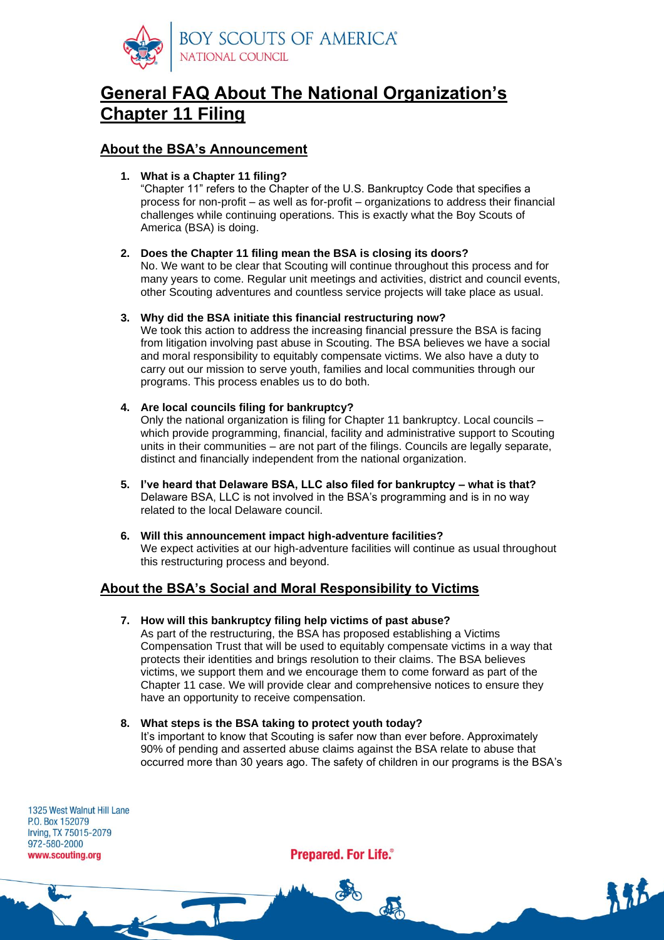

# **General FAQ About The National Organization's Chapter 11 Filing**

## **About the BSA's Announcement**

**1. What is a Chapter 11 filing?**

"Chapter 11" refers to the Chapter of the U.S. Bankruptcy Code that specifies a process for non-profit – as well as for-profit – organizations to address their financial challenges while continuing operations. This is exactly what the Boy Scouts of America (BSA) is doing.

## **2. Does the Chapter 11 filing mean the BSA is closing its doors?**

No. We want to be clear that Scouting will continue throughout this process and for many years to come. Regular unit meetings and activities, district and council events, other Scouting adventures and countless service projects will take place as usual.

## **3. Why did the BSA initiate this financial restructuring now?**

We took this action to address the increasing financial pressure the BSA is facing from litigation involving past abuse in Scouting. The BSA believes we have a social and moral responsibility to equitably compensate victims. We also have a duty to carry out our mission to serve youth, families and local communities through our programs. This process enables us to do both.

**4. Are local councils filing for bankruptcy?**

Only the national organization is filing for Chapter 11 bankruptcy. Local councils – which provide programming, financial, facility and administrative support to Scouting units in their communities – are not part of the filings. Councils are legally separate, distinct and financially independent from the national organization.

- **5. I've heard that Delaware BSA, LLC also filed for bankruptcy – what is that?** Delaware BSA, LLC is not involved in the BSA's programming and is in no way related to the local Delaware council.
- **6. Will this announcement impact high-adventure facilities?** We expect activities at our high-adventure facilities will continue as usual throughout this restructuring process and beyond.

## **About the BSA's Social and Moral Responsibility to Victims**

**7. How will this bankruptcy filing help victims of past abuse?**

As part of the restructuring, the BSA has proposed establishing a Victims Compensation Trust that will be used to equitably compensate victims in a way that protects their identities and brings resolution to their claims. The BSA believes victims, we support them and we encourage them to come forward as part of the Chapter 11 case. We will provide clear and comprehensive notices to ensure they have an opportunity to receive compensation.

## **8. What steps is the BSA taking to protect youth today?**

T

It's important to know that Scouting is safer now than ever before. Approximately 90% of pending and asserted abuse claims against the BSA relate to abuse that occurred more than 30 years ago. The safety of children in our programs is the BSA's

1325 West Walnut Hill Lane P.O. Box 152079 Irving, TX 75015-2079 972-580-2000 www.scouting.org

**Prepared. For Life.**®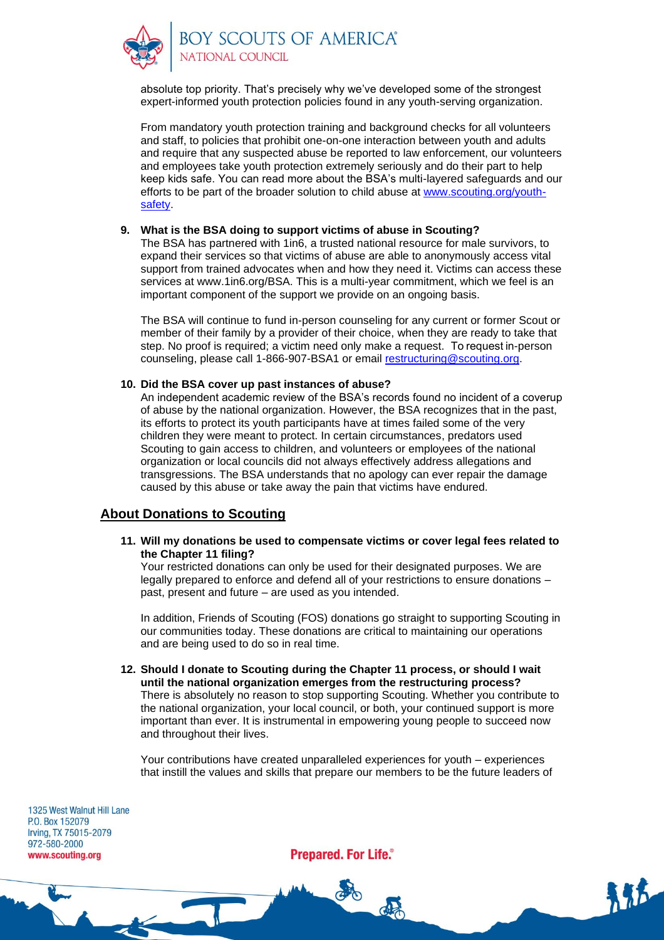

**SOY SCOUTS OF AMERICA®**<br>NATIONAL COUNCIL

absolute top priority. That's precisely why we've developed some of the strongest expert-informed youth protection policies found in any youth-serving organization.

From mandatory youth protection training and background checks for all volunteers and staff, to policies that prohibit one-on-one interaction between youth and adults and require that any suspected abuse be reported to law enforcement, our volunteers and employees take youth protection extremely seriously and do their part to help keep kids safe. You can read more about the BSA's multi-layered safeguards and our efforts to be part of the broader solution to child abuse at [www.scouting.org/youth](http://www.scouting.org/youth-safety)[safety.](http://www.scouting.org/youth-safety)

#### **9. What is the BSA doing to support victims of abuse in Scouting?**

The BSA has partnered with 1in6, a trusted national resource for male survivors, to expand their services so that victims of abuse are able to anonymously access vital support from trained advocates when and how they need it. Victims can access these services at www.1in6.org/BSA. This is a multi-year commitment, which we feel is an important component of the support we provide on an ongoing basis.

The BSA will continue to fund in-person counseling for any current or former Scout or member of their family by a provider of their choice, when they are ready to take that step. No proof is required; a victim need only make a request. To request in-person counseling, please call 1-866-907-BSA1 or email [restructuring@scouting.org.](mailto:restructuring@scouting.org)

#### **10. Did the BSA cover up past instances of abuse?**

An independent academic review of the BSA's records found no incident of a coverup of abuse by the national organization. However, the BSA recognizes that in the past, its efforts to protect its youth participants have at times failed some of the very children they were meant to protect. In certain circumstances, predators used Scouting to gain access to children, and volunteers or employees of the national organization or local councils did not always effectively address allegations and transgressions. The BSA understands that no apology can ever repair the damage caused by this abuse or take away the pain that victims have endured.

## **About Donations to Scouting**

T

**11. Will my donations be used to compensate victims or cover legal fees related to the Chapter 11 filing?**

Your restricted donations can only be used for their designated purposes. We are legally prepared to enforce and defend all of your restrictions to ensure donations – past, present and future – are used as you intended.

In addition, Friends of Scouting (FOS) donations go straight to supporting Scouting in our communities today. These donations are critical to maintaining our operations and are being used to do so in real time.

**12. Should I donate to Scouting during the Chapter 11 process, or should I wait until the national organization emerges from the restructuring process?** There is absolutely no reason to stop supporting Scouting. Whether you contribute to the national organization, your local council, or both, your continued support is more important than ever. It is instrumental in empowering young people to succeed now and throughout their lives.

Your contributions have created unparalleled experiences for youth – experiences that instill the values and skills that prepare our members to be the future leaders of

1325 West Walnut Hill Lane P.O. Box 152079 Irving, TX 75015-2079 972-580-2000 www.scouting.org

**Prepared. For Life.**®